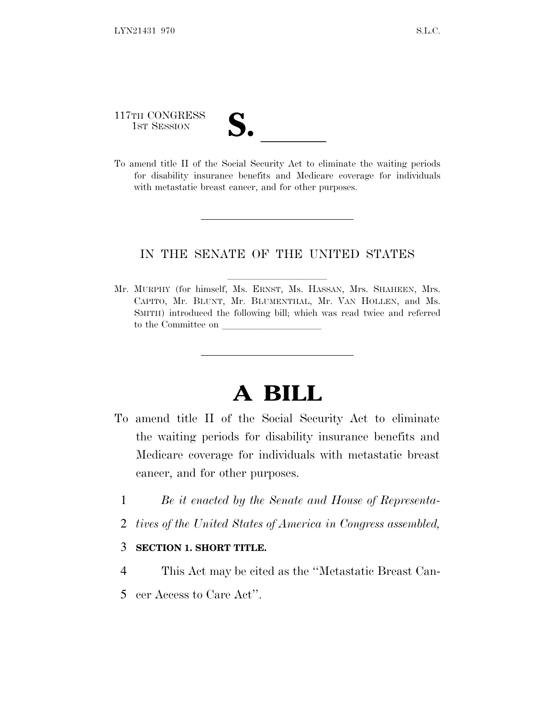117TH CONGRESS 117TH CONGRESS<br>
1ST SESSION<br>
To amend title II of the Social Security Act to eliminate the waiting periods

for disability insurance benefits and Medicare coverage for individuals with metastatic breast cancer, and for other purposes.

## IN THE SENATE OF THE UNITED STATES

Mr. MURPHY (for himself, Ms. ERNST, Ms. HASSAN, Mrs. SHAHEEN, Mrs. CAPITO, Mr. BLUNT, Mr. BLUMENTHAL, Mr. VAN HOLLEN, and Ms. SMITH) introduced the following bill; which was read twice and referred to the Committee on

## **A BILL**

- To amend title II of the Social Security Act to eliminate the waiting periods for disability insurance benefits and Medicare coverage for individuals with metastatic breast cancer, and for other purposes.
	- 1 *Be it enacted by the Senate and House of Representa-*
	- 2 *tives of the United States of America in Congress assembled,*

## 3 **SECTION 1. SHORT TITLE.**

- 4 This Act may be cited as the ''Metastatic Breast Can-
- 5 cer Access to Care Act''.